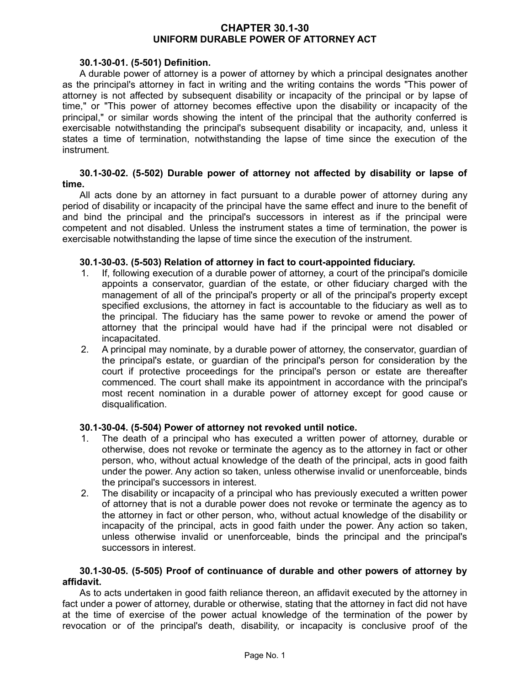# **CHAPTER 30.1-30 UNIFORM DURABLE POWER OF ATTORNEY ACT**

# **30.1-30-01. (5-501) Definition.**

A durable power of attorney is a power of attorney by which a principal designates another as the principal's attorney in fact in writing and the writing contains the words "This power of attorney is not affected by subsequent disability or incapacity of the principal or by lapse of time," or "This power of attorney becomes effective upon the disability or incapacity of the principal," or similar words showing the intent of the principal that the authority conferred is exercisable notwithstanding the principal's subsequent disability or incapacity, and, unless it states a time of termination, notwithstanding the lapse of time since the execution of the instrument.

#### **30.1-30-02. (5-502) Durable power of attorney not affected by disability or lapse of time.**

All acts done by an attorney in fact pursuant to a durable power of attorney during any period of disability or incapacity of the principal have the same effect and inure to the benefit of and bind the principal and the principal's successors in interest as if the principal were competent and not disabled. Unless the instrument states a time of termination, the power is exercisable notwithstanding the lapse of time since the execution of the instrument.

### **30.1-30-03. (5-503) Relation of attorney in fact to court-appointed fiduciary.**

- 1. If, following execution of a durable power of attorney, a court of the principal's domicile appoints a conservator, guardian of the estate, or other fiduciary charged with the management of all of the principal's property or all of the principal's property except specified exclusions, the attorney in fact is accountable to the fiduciary as well as to the principal. The fiduciary has the same power to revoke or amend the power of attorney that the principal would have had if the principal were not disabled or incapacitated.
- 2. A principal may nominate, by a durable power of attorney, the conservator, guardian of the principal's estate, or guardian of the principal's person for consideration by the court if protective proceedings for the principal's person or estate are thereafter commenced. The court shall make its appointment in accordance with the principal's most recent nomination in a durable power of attorney except for good cause or disqualification.

#### **30.1-30-04. (5-504) Power of attorney not revoked until notice.**

- 1. The death of a principal who has executed a written power of attorney, durable or otherwise, does not revoke or terminate the agency as to the attorney in fact or other person, who, without actual knowledge of the death of the principal, acts in good faith under the power. Any action so taken, unless otherwise invalid or unenforceable, binds the principal's successors in interest.
- 2. The disability or incapacity of a principal who has previously executed a written power of attorney that is not a durable power does not revoke or terminate the agency as to the attorney in fact or other person, who, without actual knowledge of the disability or incapacity of the principal, acts in good faith under the power. Any action so taken, unless otherwise invalid or unenforceable, binds the principal and the principal's successors in interest.

### **30.1-30-05. (5-505) Proof of continuance of durable and other powers of attorney by affidavit.**

As to acts undertaken in good faith reliance thereon, an affidavit executed by the attorney in fact under a power of attorney, durable or otherwise, stating that the attorney in fact did not have at the time of exercise of the power actual knowledge of the termination of the power by revocation or of the principal's death, disability, or incapacity is conclusive proof of the